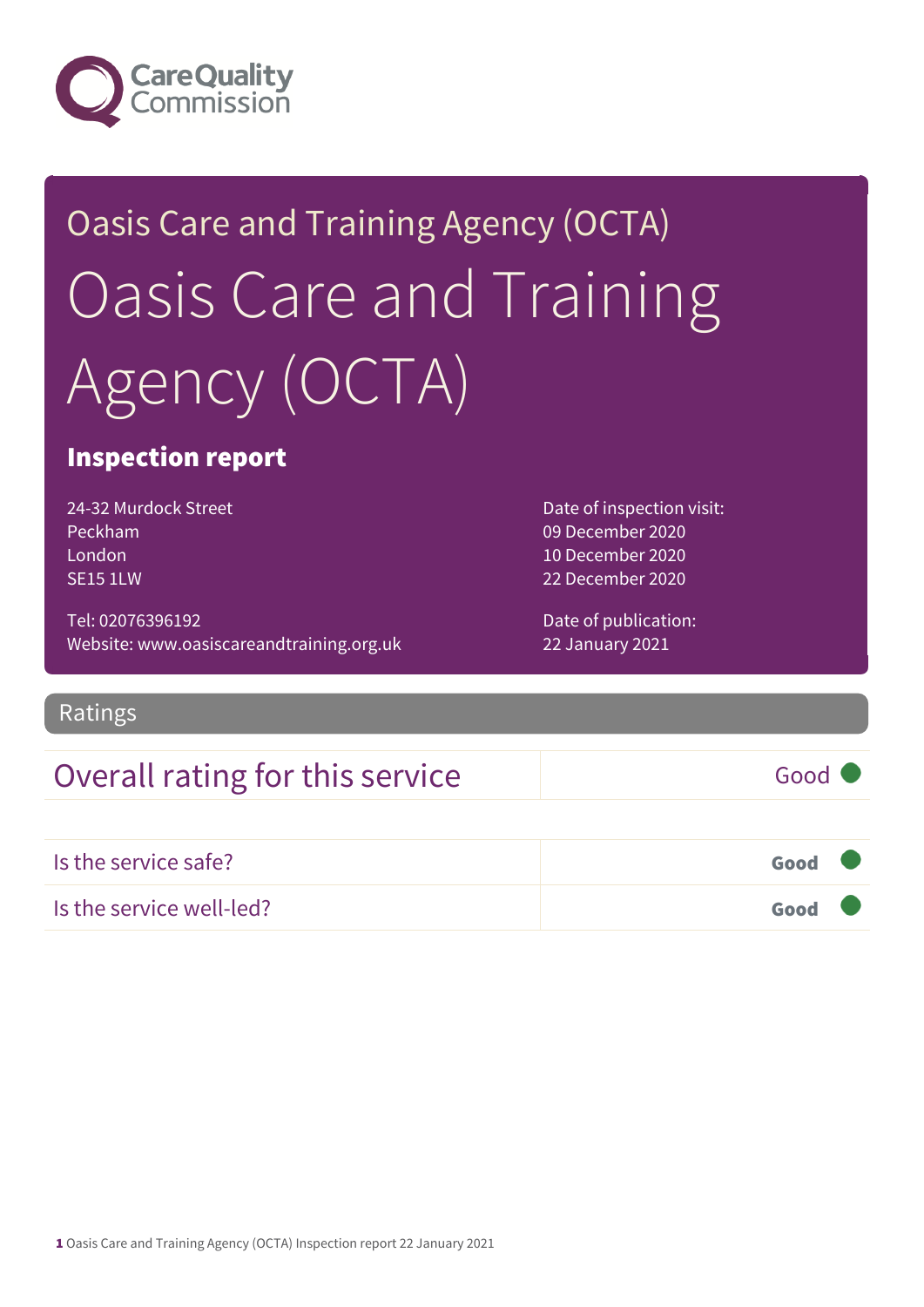

# Oasis Care and Training Agency (OCTA) Oasis Care and Training Agency (OCTA)

## Inspection report

24-32 Murdock Street Peckham London SE15 1LW

Tel: 02076396192 Website: www.oasiscareandtraining.org.uk Date of inspection visit: 09 December 2020 10 December 2020 22 December 2020

Date of publication: 22 January 2021

#### Ratings

## Overall rating for this service Good

| Is the service safe?     | Good <b>C</b> |  |
|--------------------------|---------------|--|
| Is the service well-led? | Good <b>Q</b> |  |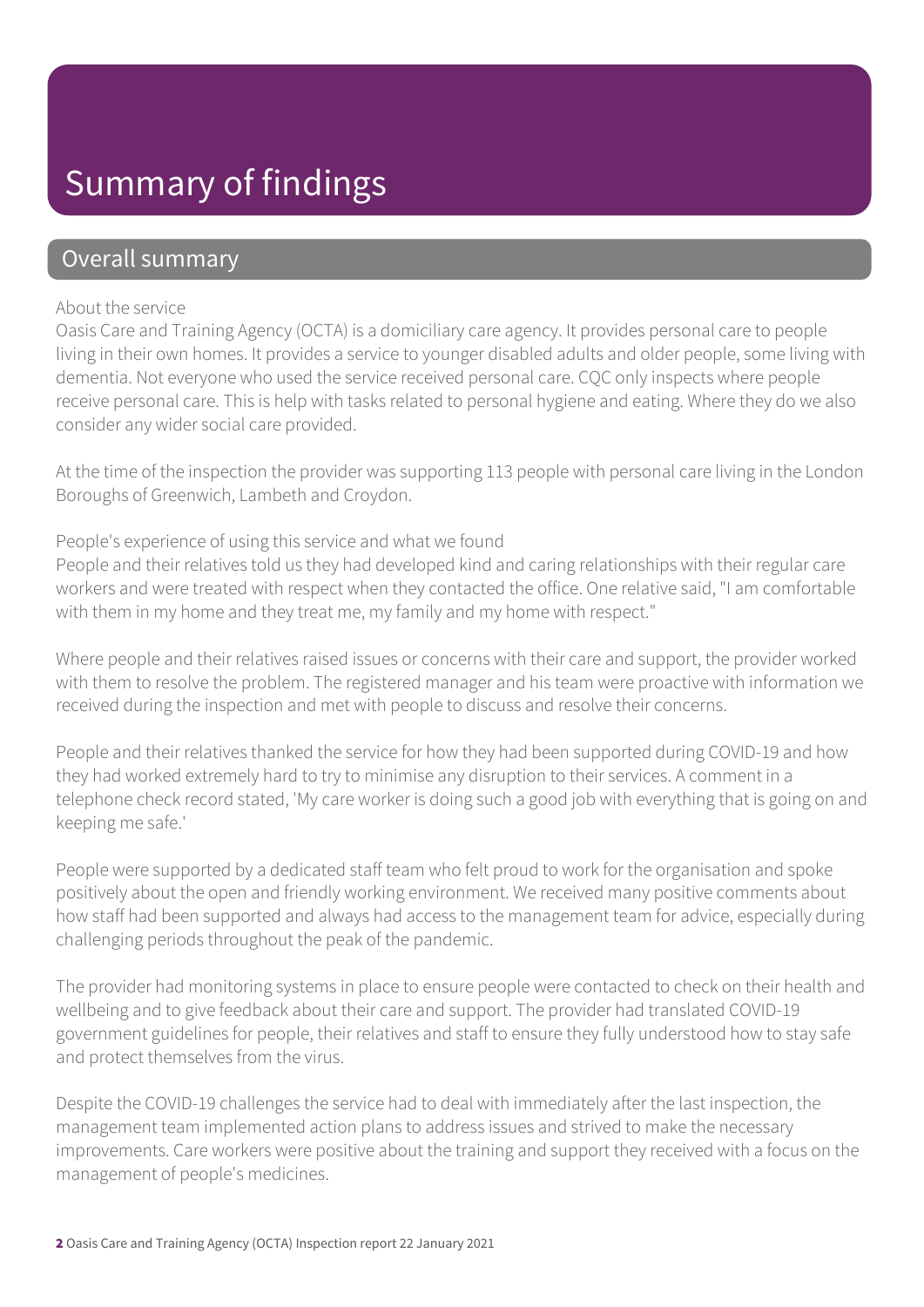## Summary of findings

### Overall summary

#### About the service

Oasis Care and Training Agency (OCTA) is a domiciliary care agency. It provides personal care to people living in their own homes. It provides a service to younger disabled adults and older people, some living with dementia. Not everyone who used the service received personal care. CQC only inspects where people receive personal care. This is help with tasks related to personal hygiene and eating. Where they do we also consider any wider social care provided.

At the time of the inspection the provider was supporting 113 people with personal care living in the London Boroughs of Greenwich, Lambeth and Croydon.

#### People's experience of using this service and what we found

People and their relatives told us they had developed kind and caring relationships with their regular care workers and were treated with respect when they contacted the office. One relative said, "I am comfortable with them in my home and they treat me, my family and my home with respect."

Where people and their relatives raised issues or concerns with their care and support, the provider worked with them to resolve the problem. The registered manager and his team were proactive with information we received during the inspection and met with people to discuss and resolve their concerns.

People and their relatives thanked the service for how they had been supported during COVID-19 and how they had worked extremely hard to try to minimise any disruption to their services. A comment in a telephone check record stated, 'My care worker is doing such a good job with everything that is going on and keeping me safe.'

People were supported by a dedicated staff team who felt proud to work for the organisation and spoke positively about the open and friendly working environment. We received many positive comments about how staff had been supported and always had access to the management team for advice, especially during challenging periods throughout the peak of the pandemic.

The provider had monitoring systems in place to ensure people were contacted to check on their health and wellbeing and to give feedback about their care and support. The provider had translated COVID-19 government guidelines for people, their relatives and staff to ensure they fully understood how to stay safe and protect themselves from the virus.

Despite the COVID-19 challenges the service had to deal with immediately after the last inspection, the management team implemented action plans to address issues and strived to make the necessary improvements. Care workers were positive about the training and support they received with a focus on the management of people's medicines.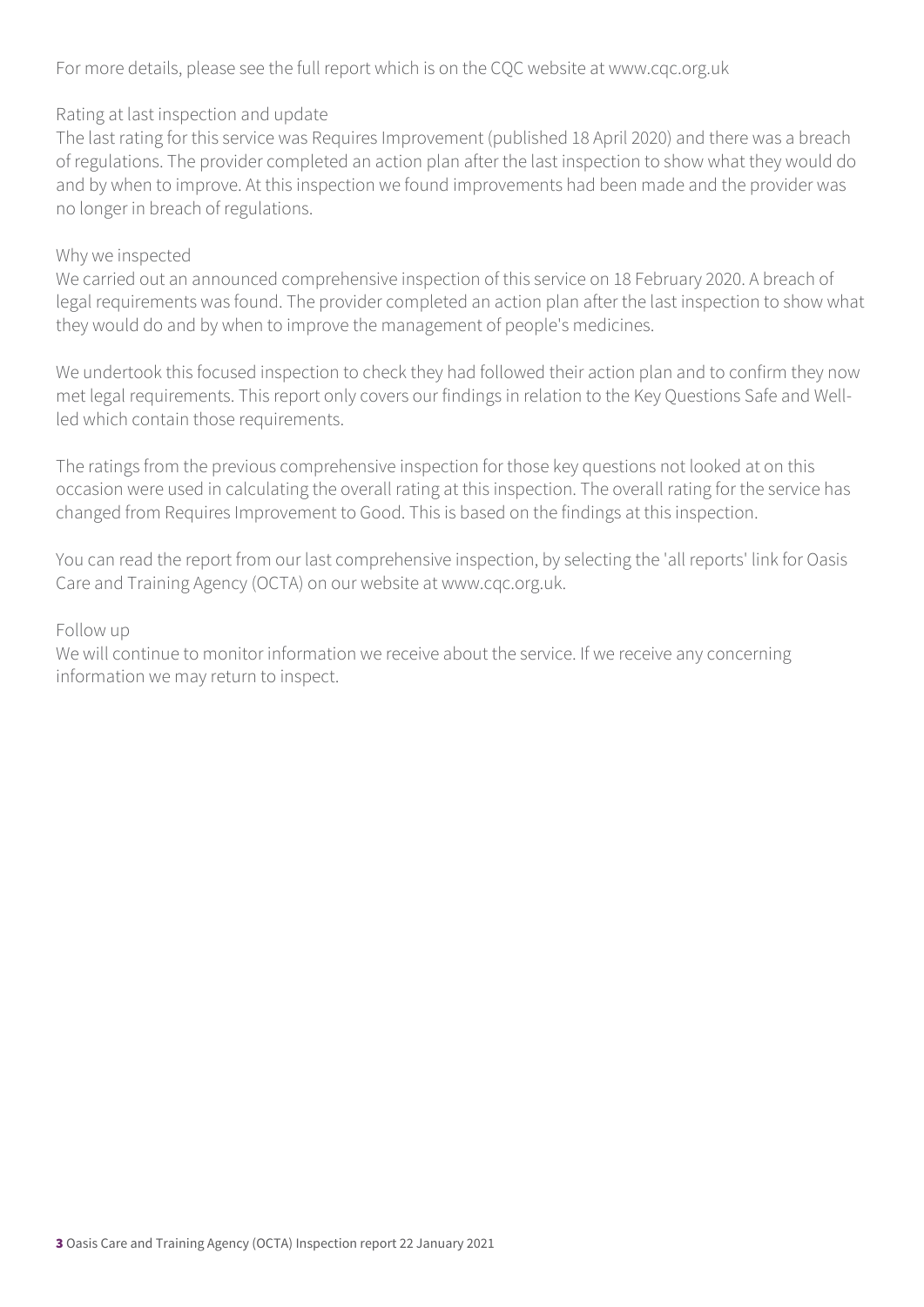For more details, please see the full report which is on the CQC website at www.cqc.org.uk

#### Rating at last inspection and update

The last rating for this service was Requires Improvement (published 18 April 2020) and there was a breach of regulations. The provider completed an action plan after the last inspection to show what they would do and by when to improve. At this inspection we found improvements had been made and the provider was no longer in breach of regulations.

#### Why we inspected

We carried out an announced comprehensive inspection of this service on 18 February 2020. A breach of legal requirements was found. The provider completed an action plan after the last inspection to show what they would do and by when to improve the management of people's medicines.

We undertook this focused inspection to check they had followed their action plan and to confirm they now met legal requirements. This report only covers our findings in relation to the Key Questions Safe and Wellled which contain those requirements.

The ratings from the previous comprehensive inspection for those key questions not looked at on this occasion were used in calculating the overall rating at this inspection. The overall rating for the service has changed from Requires Improvement to Good. This is based on the findings at this inspection.

You can read the report from our last comprehensive inspection, by selecting the 'all reports' link for Oasis Care and Training Agency (OCTA) on our website at www.cqc.org.uk.

#### Follow up

We will continue to monitor information we receive about the service. If we receive any concerning information we may return to inspect.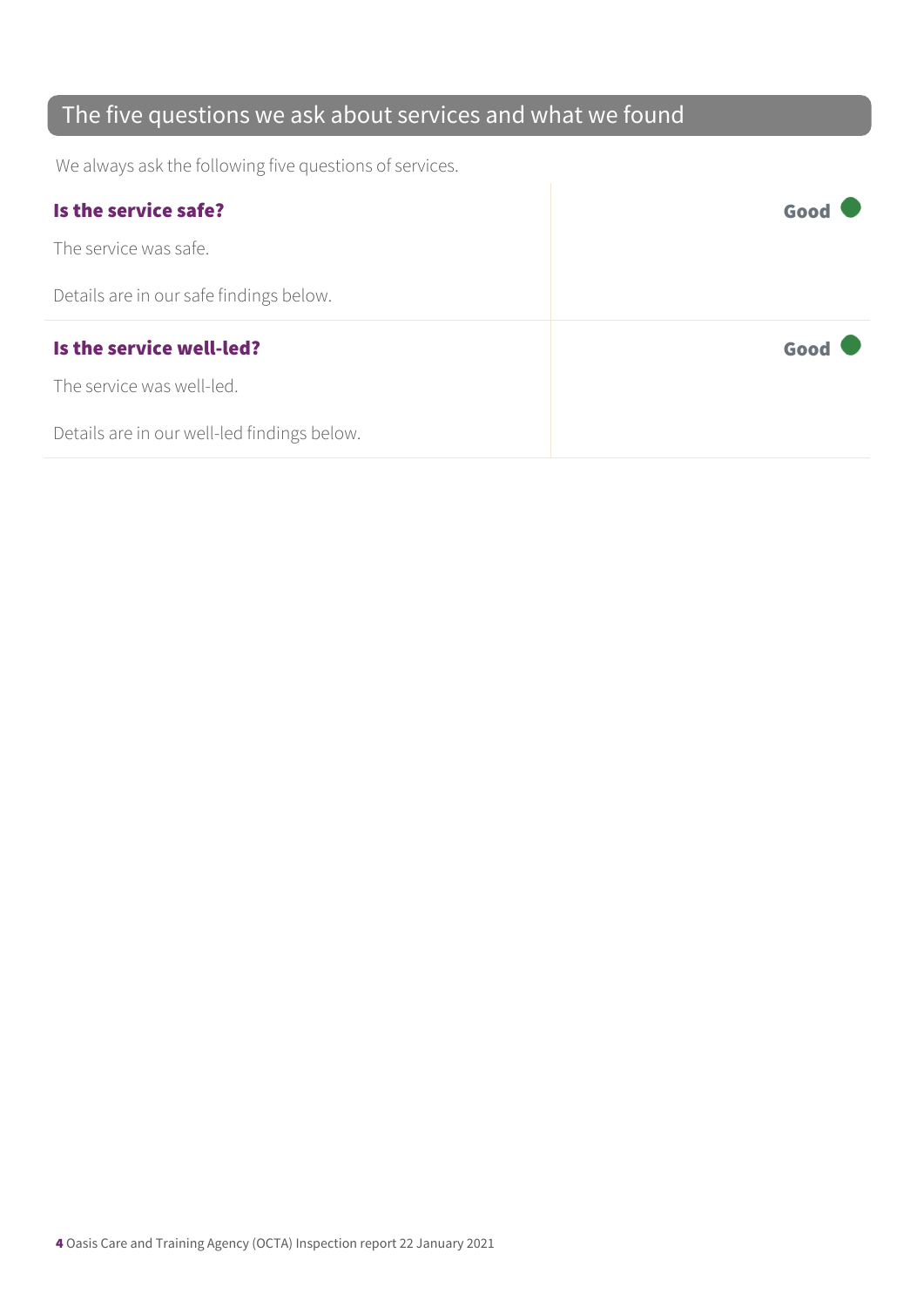## The five questions we ask about services and what we found

We always ask the following five questions of services.

| Is the service safe?                    | Good |
|-----------------------------------------|------|
| The service was safe.                   |      |
| Details are in our safe findings below. |      |
|                                         |      |
| Is the service well-led?                | Good |
| The service was well-led.               |      |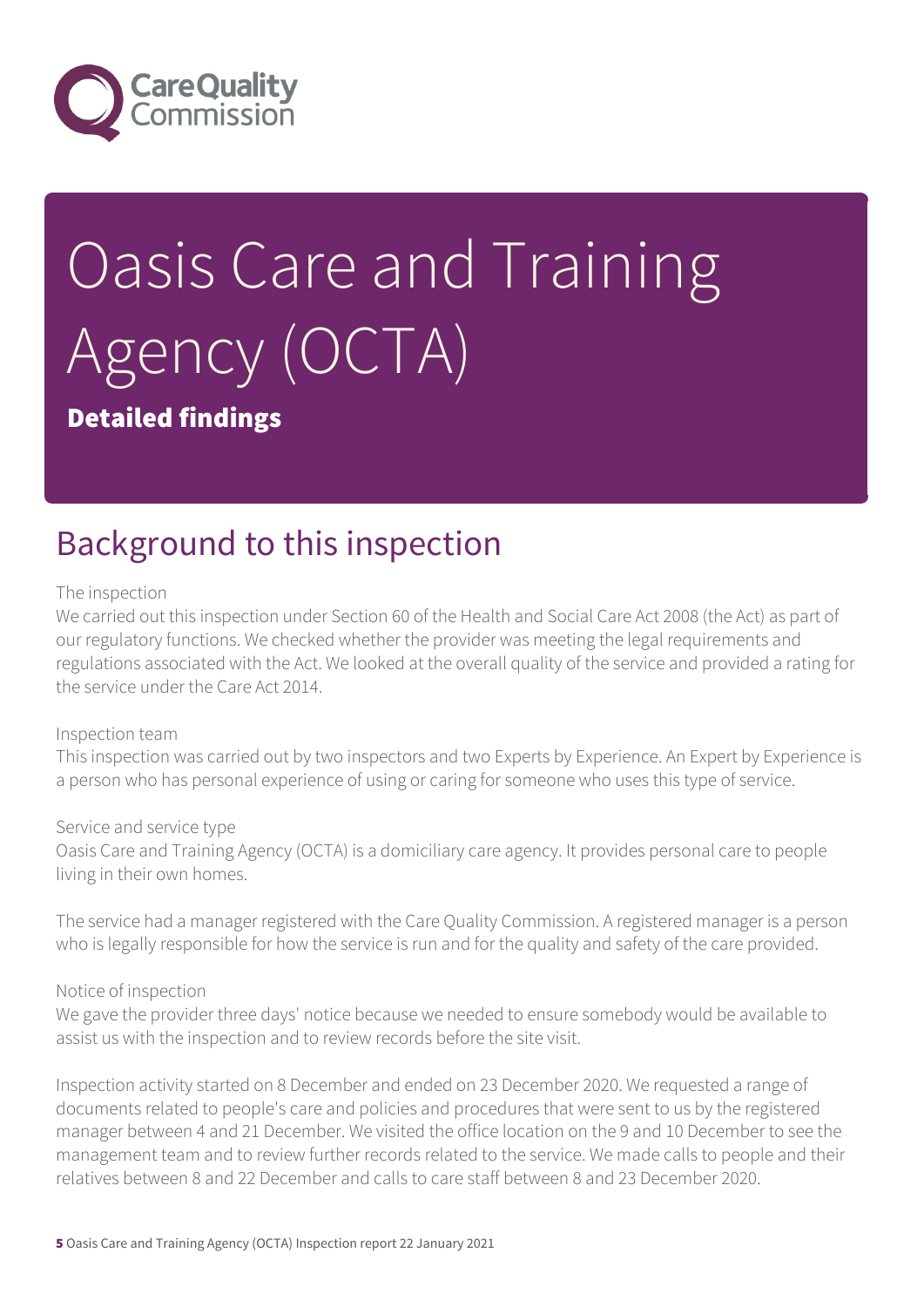

# Oasis Care and Training Agency (OCTA)

### Detailed findings

# Background to this inspection

#### The inspection

We carried out this inspection under Section 60 of the Health and Social Care Act 2008 (the Act) as part of our regulatory functions. We checked whether the provider was meeting the legal requirements and regulations associated with the Act. We looked at the overall quality of the service and provided a rating for the service under the Care Act 2014.

#### Inspection team

This inspection was carried out by two inspectors and two Experts by Experience. An Expert by Experience is a person who has personal experience of using or caring for someone who uses this type of service.

#### Service and service type

Oasis Care and Training Agency (OCTA) is a domiciliary care agency. It provides personal care to people living in their own homes.

The service had a manager registered with the Care Quality Commission. A registered manager is a person who is legally responsible for how the service is run and for the quality and safety of the care provided.

#### Notice of inspection

We gave the provider three days' notice because we needed to ensure somebody would be available to assist us with the inspection and to review records before the site visit.

Inspection activity started on 8 December and ended on 23 December 2020. We requested a range of documents related to people's care and policies and procedures that were sent to us by the registered manager between 4 and 21 December. We visited the office location on the 9 and 10 December to see the management team and to review further records related to the service. We made calls to people and their relatives between 8 and 22 December and calls to care staff between 8 and 23 December 2020.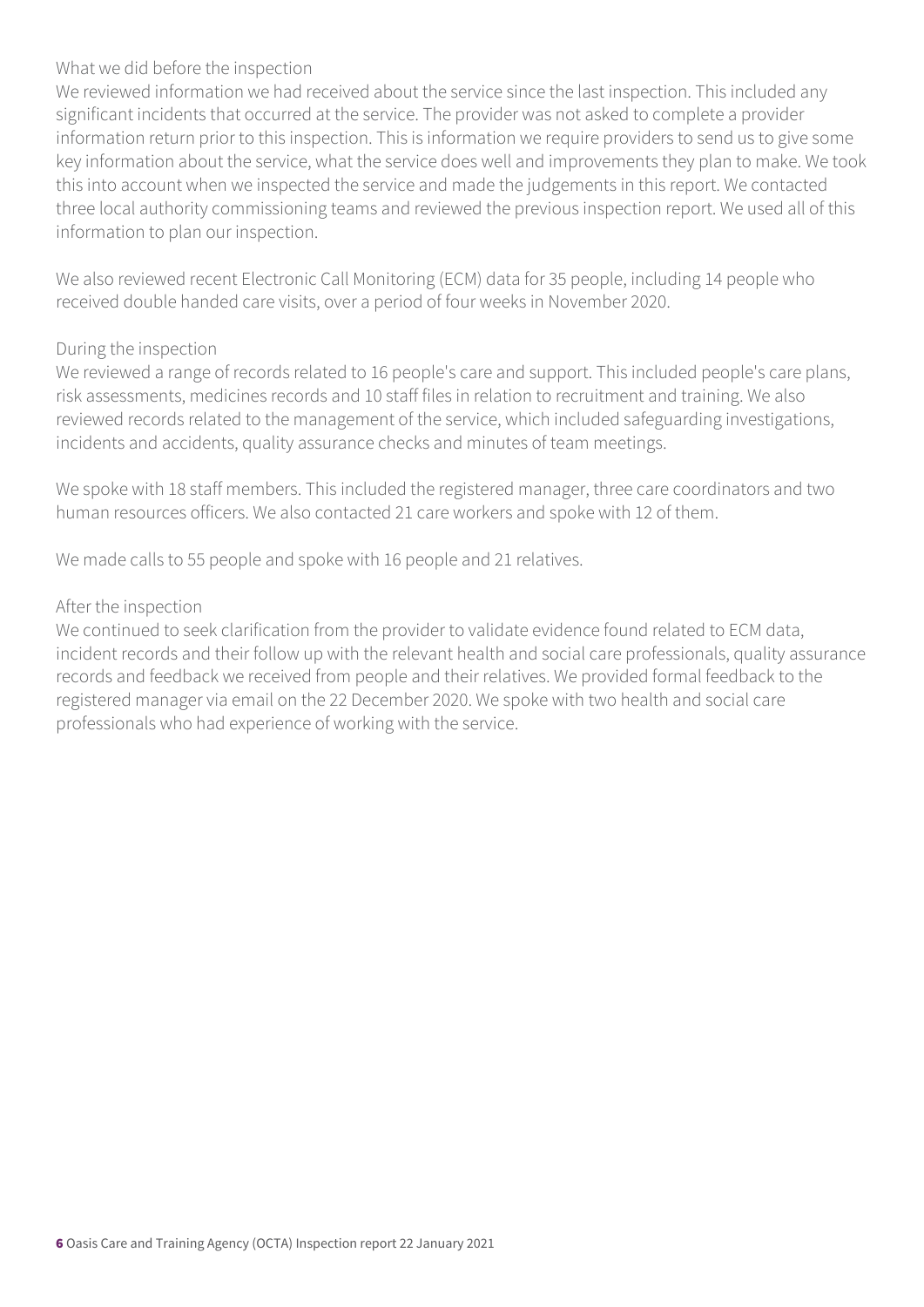#### What we did before the inspection

We reviewed information we had received about the service since the last inspection. This included any significant incidents that occurred at the service. The provider was not asked to complete a provider information return prior to this inspection. This is information we require providers to send us to give some key information about the service, what the service does well and improvements they plan to make. We took this into account when we inspected the service and made the judgements in this report. We contacted three local authority commissioning teams and reviewed the previous inspection report. We used all of this information to plan our inspection.

We also reviewed recent Electronic Call Monitoring (ECM) data for 35 people, including 14 people who received double handed care visits, over a period of four weeks in November 2020.

#### During the inspection

We reviewed a range of records related to 16 people's care and support. This included people's care plans, risk assessments, medicines records and 10 staff files in relation to recruitment and training. We also reviewed records related to the management of the service, which included safeguarding investigations, incidents and accidents, quality assurance checks and minutes of team meetings.

We spoke with 18 staff members. This included the registered manager, three care coordinators and two human resources officers. We also contacted 21 care workers and spoke with 12 of them.

We made calls to 55 people and spoke with 16 people and 21 relatives.

#### After the inspection

We continued to seek clarification from the provider to validate evidence found related to ECM data, incident records and their follow up with the relevant health and social care professionals, quality assurance records and feedback we received from people and their relatives. We provided formal feedback to the registered manager via email on the 22 December 2020. We spoke with two health and social care professionals who had experience of working with the service.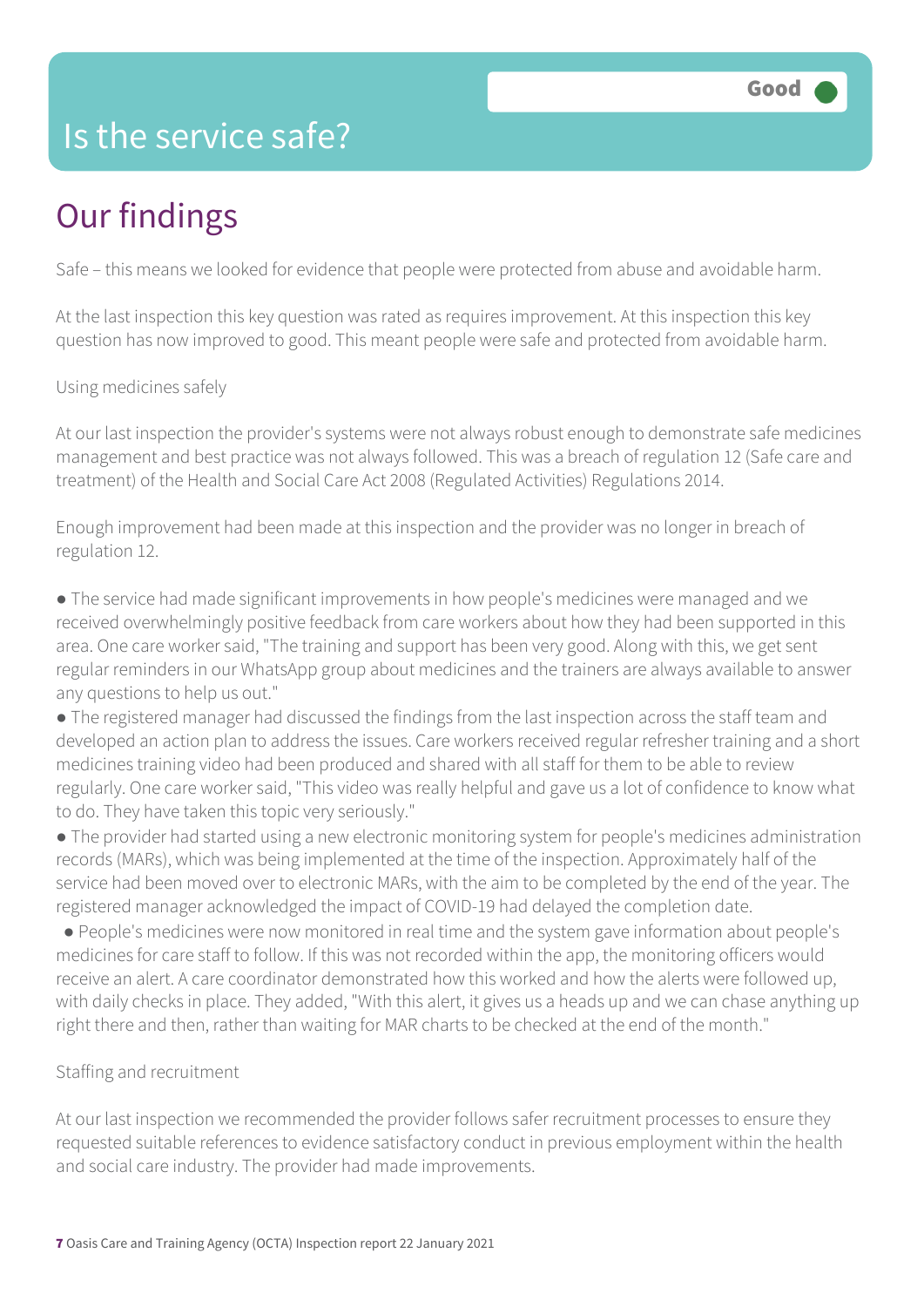## Is the service safe?

# Our findings

Safe – this means we looked for evidence that people were protected from abuse and avoidable harm.

At the last inspection this key question was rated as requires improvement. At this inspection this key question has now improved to good. This meant people were safe and protected from avoidable harm.

Using medicines safely

At our last inspection the provider's systems were not always robust enough to demonstrate safe medicines management and best practice was not always followed. This was a breach of regulation 12 (Safe care and treatment) of the Health and Social Care Act 2008 (Regulated Activities) Regulations 2014.

Enough improvement had been made at this inspection and the provider was no longer in breach of regulation 12.

● The service had made significant improvements in how people's medicines were managed and we received overwhelmingly positive feedback from care workers about how they had been supported in this area. One care worker said, "The training and support has been very good. Along with this, we get sent regular reminders in our WhatsApp group about medicines and the trainers are always available to answer any questions to help us out."

● The registered manager had discussed the findings from the last inspection across the staff team and developed an action plan to address the issues. Care workers received regular refresher training and a short medicines training video had been produced and shared with all staff for them to be able to review regularly. One care worker said, "This video was really helpful and gave us a lot of confidence to know what to do. They have taken this topic very seriously."

● The provider had started using a new electronic monitoring system for people's medicines administration records (MARs), which was being implemented at the time of the inspection. Approximately half of the service had been moved over to electronic MARs, with the aim to be completed by the end of the year. The registered manager acknowledged the impact of COVID-19 had delayed the completion date.

 ● People's medicines were now monitored in real time and the system gave information about people's medicines for care staff to follow. If this was not recorded within the app, the monitoring officers would receive an alert. A care coordinator demonstrated how this worked and how the alerts were followed up, with daily checks in place. They added, "With this alert, it gives us a heads up and we can chase anything up right there and then, rather than waiting for MAR charts to be checked at the end of the month."

#### Staffing and recruitment

At our last inspection we recommended the provider follows safer recruitment processes to ensure they requested suitable references to evidence satisfactory conduct in previous employment within the health and social care industry. The provider had made improvements.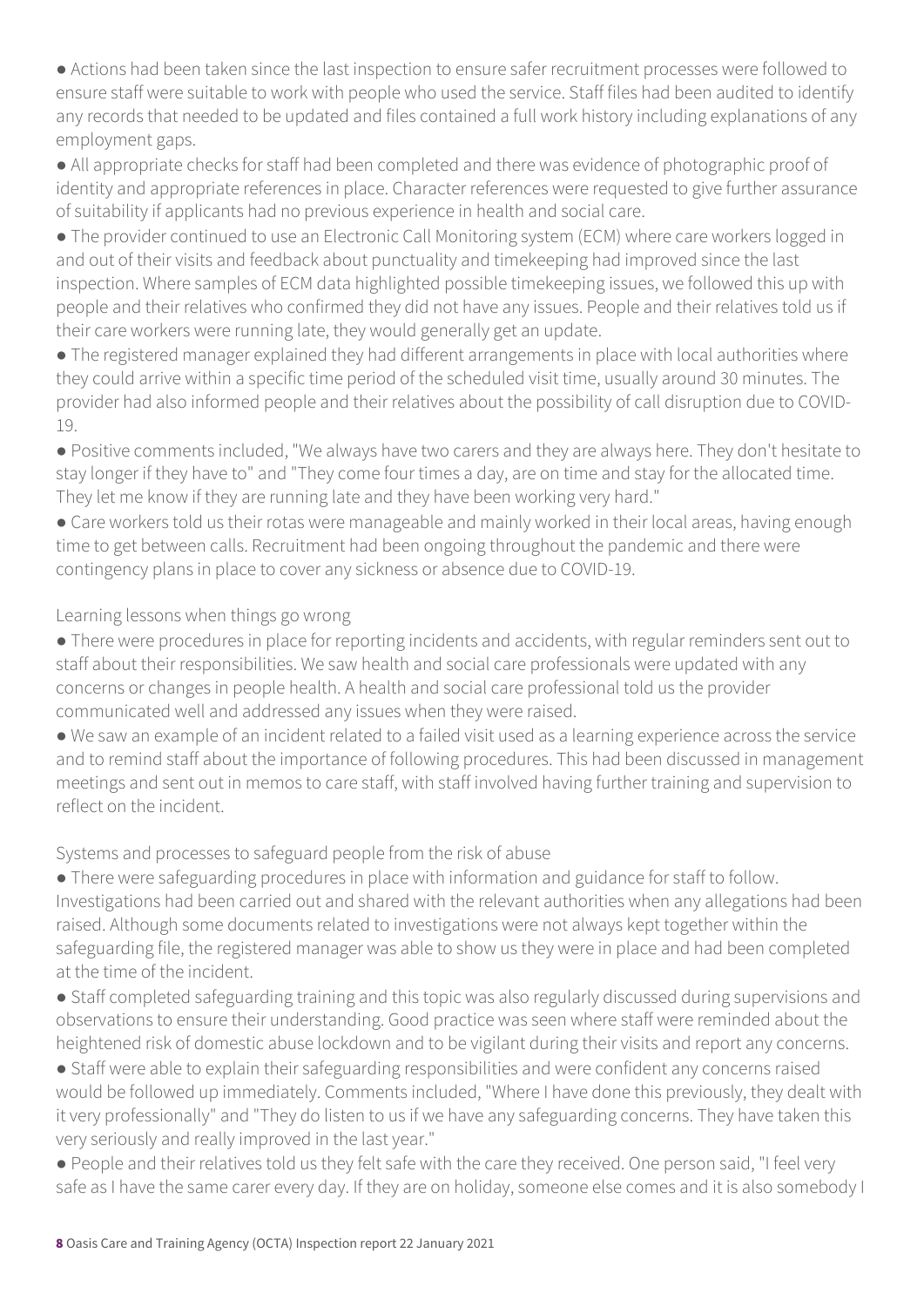● Actions had been taken since the last inspection to ensure safer recruitment processes were followed to ensure staff were suitable to work with people who used the service. Staff files had been audited to identify any records that needed to be updated and files contained a full work history including explanations of any employment gaps.

● All appropriate checks for staff had been completed and there was evidence of photographic proof of identity and appropriate references in place. Character references were requested to give further assurance of suitability if applicants had no previous experience in health and social care.

● The provider continued to use an Electronic Call Monitoring system (ECM) where care workers logged in and out of their visits and feedback about punctuality and timekeeping had improved since the last inspection. Where samples of ECM data highlighted possible timekeeping issues, we followed this up with people and their relatives who confirmed they did not have any issues. People and their relatives told us if their care workers were running late, they would generally get an update.

● The registered manager explained they had different arrangements in place with local authorities where they could arrive within a specific time period of the scheduled visit time, usually around 30 minutes. The provider had also informed people and their relatives about the possibility of call disruption due to COVID-19.

● Positive comments included, "We always have two carers and they are always here. They don't hesitate to stay longer if they have to" and "They come four times a day, are on time and stay for the allocated time. They let me know if they are running late and they have been working very hard."

● Care workers told us their rotas were manageable and mainly worked in their local areas, having enough time to get between calls. Recruitment had been ongoing throughout the pandemic and there were contingency plans in place to cover any sickness or absence due to COVID-19.

Learning lessons when things go wrong

● There were procedures in place for reporting incidents and accidents, with regular reminders sent out to staff about their responsibilities. We saw health and social care professionals were updated with any concerns or changes in people health. A health and social care professional told us the provider communicated well and addressed any issues when they were raised.

● We saw an example of an incident related to a failed visit used as a learning experience across the service and to remind staff about the importance of following procedures. This had been discussed in management meetings and sent out in memos to care staff, with staff involved having further training and supervision to reflect on the incident.

Systems and processes to safeguard people from the risk of abuse

● There were safeguarding procedures in place with information and guidance for staff to follow. Investigations had been carried out and shared with the relevant authorities when any allegations had been raised. Although some documents related to investigations were not always kept together within the safeguarding file, the registered manager was able to show us they were in place and had been completed at the time of the incident.

● Staff completed safeguarding training and this topic was also regularly discussed during supervisions and observations to ensure their understanding. Good practice was seen where staff were reminded about the heightened risk of domestic abuse lockdown and to be vigilant during their visits and report any concerns.

● Staff were able to explain their safeguarding responsibilities and were confident any concerns raised would be followed up immediately. Comments included, "Where I have done this previously, they dealt with it very professionally" and "They do listen to us if we have any safeguarding concerns. They have taken this very seriously and really improved in the last year."

● People and their relatives told us they felt safe with the care they received. One person said, "I feel very safe as I have the same carer every day. If they are on holiday, someone else comes and it is also somebody I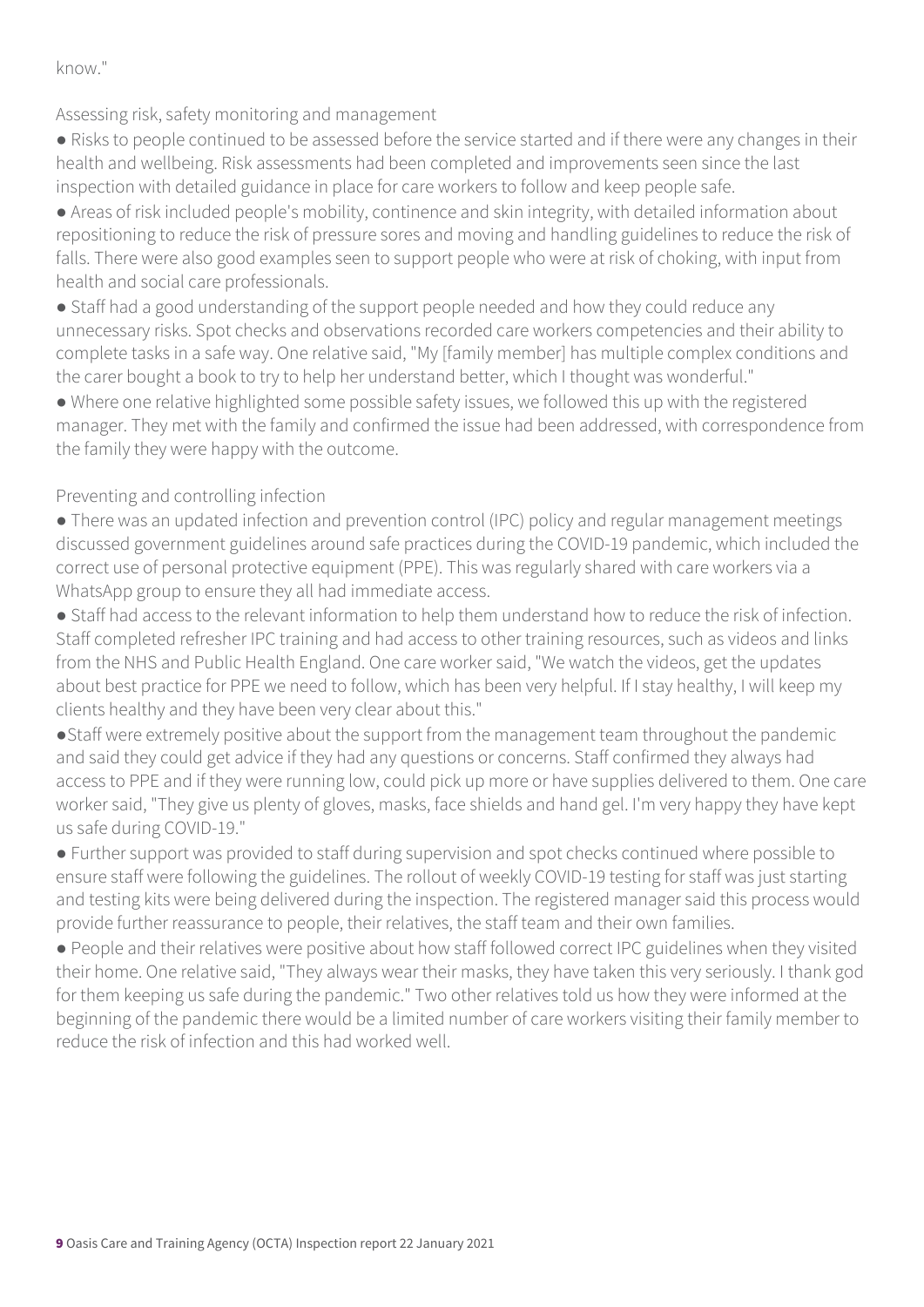know."

Assessing risk, safety monitoring and management

● Risks to people continued to be assessed before the service started and if there were any changes in their health and wellbeing. Risk assessments had been completed and improvements seen since the last inspection with detailed guidance in place for care workers to follow and keep people safe.

● Areas of risk included people's mobility, continence and skin integrity, with detailed information about repositioning to reduce the risk of pressure sores and moving and handling guidelines to reduce the risk of falls. There were also good examples seen to support people who were at risk of choking, with input from health and social care professionals.

● Staff had a good understanding of the support people needed and how they could reduce any unnecessary risks. Spot checks and observations recorded care workers competencies and their ability to complete tasks in a safe way. One relative said, "My [family member] has multiple complex conditions and the carer bought a book to try to help her understand better, which I thought was wonderful."

● Where one relative highlighted some possible safety issues, we followed this up with the registered manager. They met with the family and confirmed the issue had been addressed, with correspondence from the family they were happy with the outcome.

#### Preventing and controlling infection

• There was an updated infection and prevention control (IPC) policy and regular management meetings discussed government guidelines around safe practices during the COVID-19 pandemic, which included the correct use of personal protective equipment (PPE). This was regularly shared with care workers via a WhatsApp group to ensure they all had immediate access.

● Staff had access to the relevant information to help them understand how to reduce the risk of infection. Staff completed refresher IPC training and had access to other training resources, such as videos and links from the NHS and Public Health England. One care worker said, "We watch the videos, get the updates about best practice for PPE we need to follow, which has been very helpful. If I stay healthy, I will keep my clients healthy and they have been very clear about this."

●Staff were extremely positive about the support from the management team throughout the pandemic and said they could get advice if they had any questions or concerns. Staff confirmed they always had access to PPE and if they were running low, could pick up more or have supplies delivered to them. One care worker said, "They give us plenty of gloves, masks, face shields and hand gel. I'm very happy they have kept us safe during COVID-19."

● Further support was provided to staff during supervision and spot checks continued where possible to ensure staff were following the guidelines. The rollout of weekly COVID-19 testing for staff was just starting and testing kits were being delivered during the inspection. The registered manager said this process would provide further reassurance to people, their relatives, the staff team and their own families.

● People and their relatives were positive about how staff followed correct IPC guidelines when they visited their home. One relative said, "They always wear their masks, they have taken this very seriously. I thank god for them keeping us safe during the pandemic." Two other relatives told us how they were informed at the beginning of the pandemic there would be a limited number of care workers visiting their family member to reduce the risk of infection and this had worked well.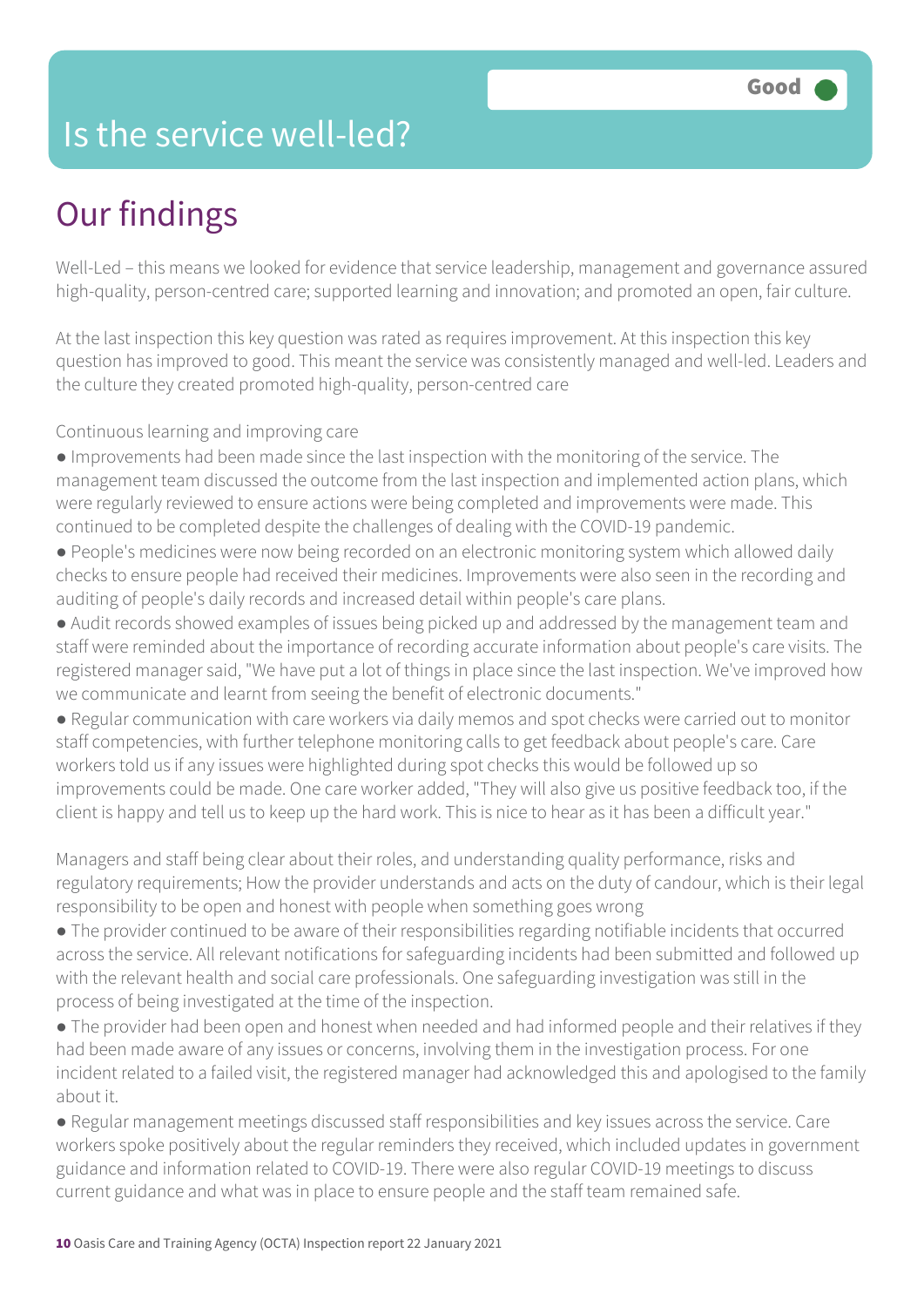## Is the service well-led?

# Our findings

Well-Led – this means we looked for evidence that service leadership, management and governance assured high-quality, person-centred care; supported learning and innovation; and promoted an open, fair culture.

At the last inspection this key question was rated as requires improvement. At this inspection this key question has improved to good. This meant the service was consistently managed and well-led. Leaders and the culture they created promoted high-quality, person-centred care

Continuous learning and improving care

- Improvements had been made since the last inspection with the monitoring of the service. The management team discussed the outcome from the last inspection and implemented action plans, which were regularly reviewed to ensure actions were being completed and improvements were made. This continued to be completed despite the challenges of dealing with the COVID-19 pandemic.
- People's medicines were now being recorded on an electronic monitoring system which allowed daily checks to ensure people had received their medicines. Improvements were also seen in the recording and auditing of people's daily records and increased detail within people's care plans.
- Audit records showed examples of issues being picked up and addressed by the management team and staff were reminded about the importance of recording accurate information about people's care visits. The registered manager said, "We have put a lot of things in place since the last inspection. We've improved how we communicate and learnt from seeing the benefit of electronic documents."
- Regular communication with care workers via daily memos and spot checks were carried out to monitor staff competencies, with further telephone monitoring calls to get feedback about people's care. Care workers told us if any issues were highlighted during spot checks this would be followed up so improvements could be made. One care worker added, "They will also give us positive feedback too, if the client is happy and tell us to keep up the hard work. This is nice to hear as it has been a difficult year."

Managers and staff being clear about their roles, and understanding quality performance, risks and regulatory requirements; How the provider understands and acts on the duty of candour, which is their legal responsibility to be open and honest with people when something goes wrong

- The provider continued to be aware of their responsibilities regarding notifiable incidents that occurred across the service. All relevant notifications for safeguarding incidents had been submitted and followed up with the relevant health and social care professionals. One safeguarding investigation was still in the process of being investigated at the time of the inspection.
- The provider had been open and honest when needed and had informed people and their relatives if they had been made aware of any issues or concerns, involving them in the investigation process. For one incident related to a failed visit, the registered manager had acknowledged this and apologised to the family about it.
- Regular management meetings discussed staff responsibilities and key issues across the service. Care workers spoke positively about the regular reminders they received, which included updates in government guidance and information related to COVID-19. There were also regular COVID-19 meetings to discuss current guidance and what was in place to ensure people and the staff team remained safe.